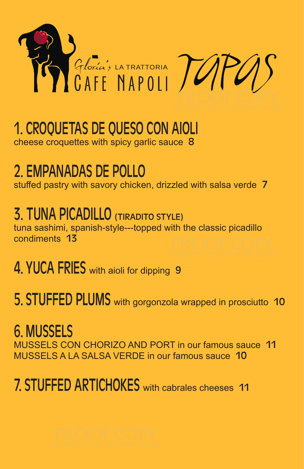

### 1. CROQUETAS DE QUESO CON AIOLI cheese croquettes with spicy garlic sauce 8

### 2. EMPANADAS DE POLLO

stuffed pastry with savory chicken, drizzled with salsa verde 7

## 3. TUNA PICADILLO (TIRADITO STYLE)

tuna sashimi, spanish-style---topped with the classic picadillo condiments 13

### 4. YUCA FRIES with aioli for dipping 9

5. STUFFED PLUMS with gorgonzola wrapped in prosciutto 10

### 6. MUSSELS

MUSSELS CON CHORIZO AND PORT in our famous sauce 11 MUSSELS A LA SALSA VERDE in our famous sauce 10

## 7. STUFFED ARTICHOKES with cabrales cheeses 11